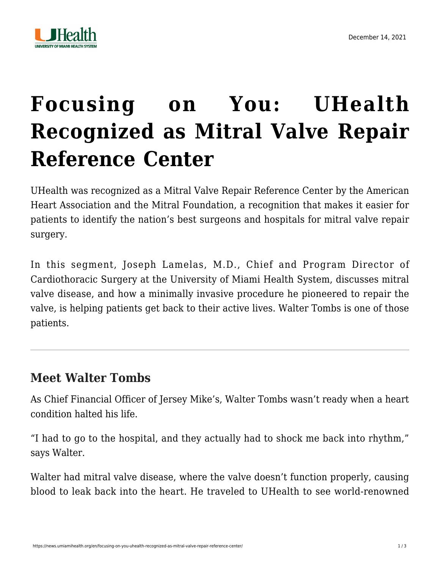

## **[Focusing on You: UHealth](https://news.umiamihealth.org/en/focusing-on-you-uhealth-recognized-as-mitral-valve-repair-reference-center/) [Recognized as Mitral Valve Repair](https://news.umiamihealth.org/en/focusing-on-you-uhealth-recognized-as-mitral-valve-repair-reference-center/) [Reference Center](https://news.umiamihealth.org/en/focusing-on-you-uhealth-recognized-as-mitral-valve-repair-reference-center/)**

UHealth was recognized as a [Mitral Valve Repair Reference Center](https://www.mitralfoundation.org/reference-center-award/find-a-center) by the American Heart Association and the Mitral Foundation, a recognition that makes it easier for patients to identify the nation's best surgeons and hospitals for mitral valve repair surgery.

In this segment, [Joseph Lamelas, M.D.](https://doctors.umiamihealth.org/provider/Joseph+Lamelas/867364?name=Joseph%20Lamelas&sort=relevance&tt=4d64a84a-33ce-4b2f-bb0d-1994a085d0db&ut=66f23840-13fd-4e6a-85e7-7690560ef315×tamp=2021-12-14T15%3A09%3A22.453Z&from=search-list), Chief and Program Director of Cardiothoracic Surgery at the University of Miami Health System, discusses mitral valve disease, and how a minimally invasive procedure he pioneered to repair the valve, is helping patients get back to their active lives. Walter Tombs is one of those patients.

## **Meet Walter Tombs**

As Chief Financial Officer of Jersey Mike's, Walter Tombs wasn't ready when a heart condition halted his life.

"I had to go to the hospital, and they actually had to shock me back into rhythm," says Walter.

Walter had mitral valve disease, where the valve doesn't function properly, causing blood to leak back into the heart. He traveled to UHealth to see world-renowned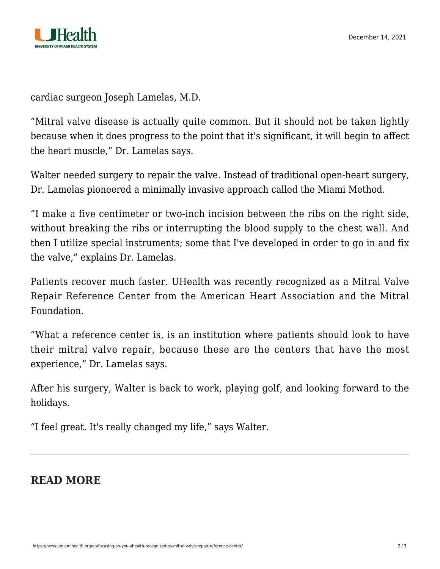

cardiac surgeon Joseph Lamelas, M.D.

"Mitral valve disease is actually quite common. But it should not be taken lightly because when it does progress to the point that it's significant, it will begin to affect the heart muscle," Dr. Lamelas says.

Walter needed surgery to repair the valve. Instead of traditional open-heart surgery, Dr. Lamelas pioneered a minimally invasive approach called the Miami Method.

"I make a five centimeter or two-inch incision between the ribs on the right side, without breaking the ribs or interrupting the blood supply to the chest wall. And then I utilize special instruments; some that I've developed in order to go in and fix the valve," explains Dr. Lamelas.

Patients recover much faster. UHealth was recently recognized as a Mitral Valve Repair Reference Center from the American Heart Association and the Mitral Foundation.

"What a reference center is, is an institution where patients should look to have their mitral valve repair, because these are the centers that have the most experience," Dr. Lamelas says.

After his surgery, Walter is back to work, playing golf, and looking forward to the holidays.

"I feel great. It's really changed my life," says Walter.

## **READ MORE**